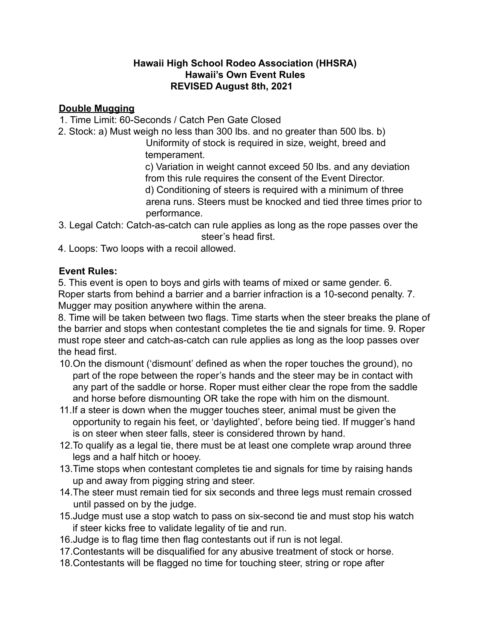## **Hawaii High School Rodeo Association (HHSRA) Hawaii's Own Event Rules REVISED August 8th, 2021**

## **Double Mugging**

- 1. Time Limit: 60-Seconds / Catch Pen Gate Closed
- 2. Stock: a) Must weigh no less than 300 lbs. and no greater than 500 lbs. b)

Uniformity of stock is required in size, weight, breed and temperament.

c) Variation in weight cannot exceed 50 lbs. and any deviation from this rule requires the consent of the Event Director. d) Conditioning of steers is required with a minimum of three arena runs. Steers must be knocked and tied three times prior to performance.

3. Legal Catch: Catch-as-catch can rule applies as long as the rope passes over the steer's head first.

4. Loops: Two loops with a recoil allowed.

## **Event Rules:**

5. This event is open to boys and girls with teams of mixed or same gender. 6. Roper starts from behind a barrier and a barrier infraction is a 10-second penalty. 7. Mugger may position anywhere within the arena.

8. Time will be taken between two flags. Time starts when the steer breaks the plane of the barrier and stops when contestant completes the tie and signals for time. 9. Roper must rope steer and catch-as-catch can rule applies as long as the loop passes over the head first.

- 10.On the dismount ('dismount' defined as when the roper touches the ground), no part of the rope between the roper's hands and the steer may be in contact with any part of the saddle or horse. Roper must either clear the rope from the saddle and horse before dismounting OR take the rope with him on the dismount.
- 11.If a steer is down when the mugger touches steer, animal must be given the opportunity to regain his feet, or 'daylighted', before being tied. If mugger's hand is on steer when steer falls, steer is considered thrown by hand.
- 12.To qualify as a legal tie, there must be at least one complete wrap around three legs and a half hitch or hooey.
- 13.Time stops when contestant completes tie and signals for time by raising hands up and away from pigging string and steer.
- 14.The steer must remain tied for six seconds and three legs must remain crossed until passed on by the judge.
- 15.Judge must use a stop watch to pass on six-second tie and must stop his watch if steer kicks free to validate legality of tie and run.
- 16.Judge is to flag time then flag contestants out if run is not legal.
- 17.Contestants will be disqualified for any abusive treatment of stock or horse.
- 18.Contestants will be flagged no time for touching steer, string or rope after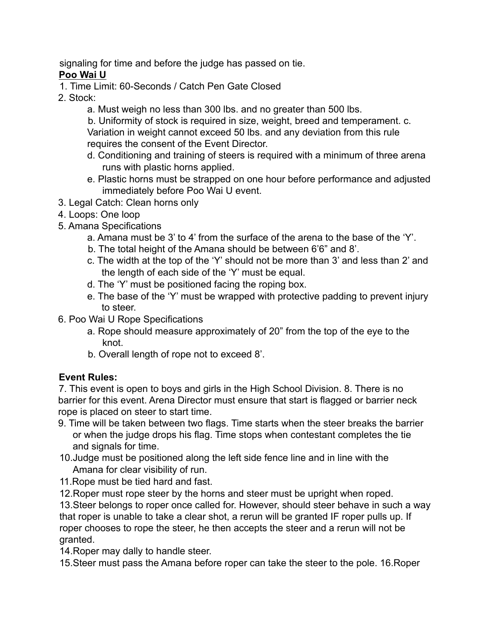signaling for time and before the judge has passed on tie. **Poo Wai U**

- 1. Time Limit: 60-Seconds / Catch Pen Gate Closed
- 2. Stock:
	- a. Must weigh no less than 300 lbs. and no greater than 500 lbs.

b. Uniformity of stock is required in size, weight, breed and temperament. c. Variation in weight cannot exceed 50 lbs. and any deviation from this rule requires the consent of the Event Director.

- d. Conditioning and training of steers is required with a minimum of three arena runs with plastic horns applied.
- e. Plastic horns must be strapped on one hour before performance and adjusted immediately before Poo Wai U event.
- 3. Legal Catch: Clean horns only
- 4. Loops: One loop
- 5. Amana Specifications
	- a. Amana must be 3' to 4' from the surface of the arena to the base of the 'Y'.
	- b. The total height of the Amana should be between 6'6" and 8'.
	- c. The width at the top of the 'Y' should not be more than 3' and less than 2' and the length of each side of the 'Y' must be equal.
	- d. The 'Y' must be positioned facing the roping box.
	- e. The base of the 'Y' must be wrapped with protective padding to prevent injury to steer.
- 6. Poo Wai U Rope Specifications
	- a. Rope should measure approximately of 20" from the top of the eye to the knot.
	- b. Overall length of rope not to exceed 8'.

## **Event Rules:**

7. This event is open to boys and girls in the High School Division. 8. There is no barrier for this event. Arena Director must ensure that start is flagged or barrier neck rope is placed on steer to start time.

- 9. Time will be taken between two flags. Time starts when the steer breaks the barrier or when the judge drops his flag. Time stops when contestant completes the tie and signals for time.
- 10.Judge must be positioned along the left side fence line and in line with the Amana for clear visibility of run.
- 11.Rope must be tied hard and fast.
- 12.Roper must rope steer by the horns and steer must be upright when roped.

13.Steer belongs to roper once called for. However, should steer behave in such a way that roper is unable to take a clear shot, a rerun will be granted IF roper pulls up. If roper chooses to rope the steer, he then accepts the steer and a rerun will not be granted.

14.Roper may dally to handle steer.

15.Steer must pass the Amana before roper can take the steer to the pole. 16.Roper